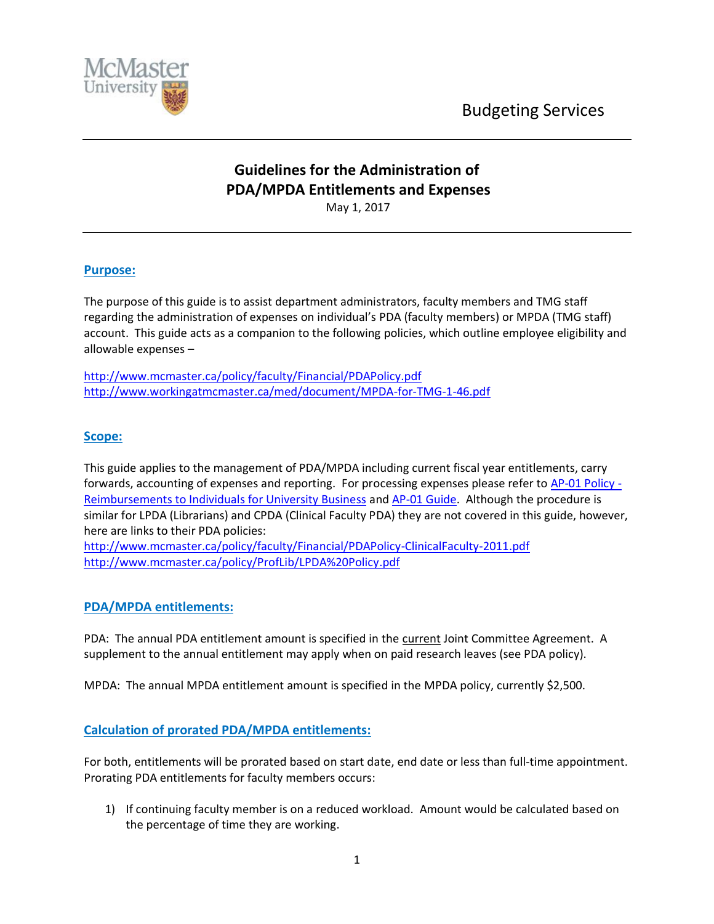

# **Guidelines for the Administration of PDA/MPDA Entitlements and Expenses** May 1, 2017

### **Purpose:**

The purpose of this guide is to assist department administrators, faculty members and TMG staff regarding the administration of expenses on individual's PDA (faculty members) or MPDA (TMG staff) account. This guide acts as a companion to the following policies, which outline employee eligibility and allowable expenses –

<http://www.mcmaster.ca/policy/faculty/Financial/PDAPolicy.pdf> <http://www.workingatmcmaster.ca/med/document/MPDA-for-TMG-1-46.pdf>

#### **Scope:**

This guide applies to the management of PDA/MPDA including current fiscal year entitlements, carry forwards, accounting of expenses and reporting. For processing expenses please refer to [AP-01 Policy -](http://www.mcmaster.ca/bms/policy/accounts_payable/ap01-rem_univ_bus.pdf) [Reimbursements to Individuals for University Business](http://www.mcmaster.ca/bms/policy/accounts_payable/ap01-rem_univ_bus.pdf) and [AP-01 Guide.](http://www.mcmaster.ca/bms/pdf/AP-01_Guidelines.pdf) Although the procedure is similar for LPDA (Librarians) and CPDA (Clinical Faculty PDA) they are not covered in this guide, however, here are links to their PDA policies:

<http://www.mcmaster.ca/policy/faculty/Financial/PDAPolicy-ClinicalFaculty-2011.pdf> <http://www.mcmaster.ca/policy/ProfLib/LPDA%20Policy.pdf>

# **PDA/MPDA entitlements:**

PDA: The annual PDA entitlement amount is specified in the current Joint Committee Agreement. A supplement to the annual entitlement may apply when on paid research leaves (see PDA policy).

MPDA: The annual MPDA entitlement amount is specified in the MPDA policy, currently \$2,500.

# **Calculation of prorated PDA/MPDA entitlements:**

For both, entitlements will be prorated based on start date, end date or less than full-time appointment. Prorating PDA entitlements for faculty members occurs:

1) If continuing faculty member is on a reduced workload. Amount would be calculated based on the percentage of time they are working.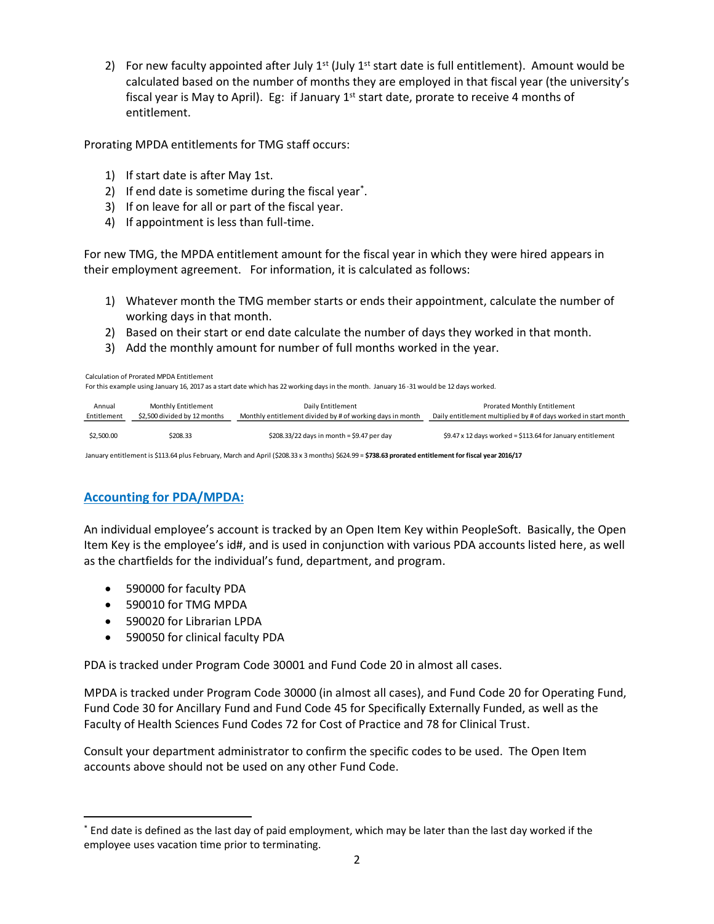2) For new faculty appointed after July  $1^{st}$  (July  $1^{st}$  start date is full entitlement). Amount would be calculated based on the number of months they are employed in that fiscal year (the university's fiscal year is May to April). Eg: if January  $1<sup>st</sup>$  start date, prorate to receive 4 months of entitlement.

Prorating MPDA entitlements for TMG staff occurs:

- 1) If start date is after May 1st.
- 2) If end date is sometime during the fiscal year<sup>\*</sup>.
- 3) If on leave for all or part of the fiscal year.
- 4) If appointment is less than full-time.

For new TMG, the MPDA entitlement amount for the fiscal year in which they were hired appears in their employment agreement. For information, it is calculated as follows:

- 1) Whatever month the TMG member starts or ends their appointment, calculate the number of working days in that month.
- 2) Based on their start or end date calculate the number of days they worked in that month.
- 3) Add the monthly amount for number of full months worked in the year.

For this example using January 16, 2017 as a start date which has 22 working days in the month. January 16 -31 would be 12 days worked.

| Annual      | Monthly Entitlement          | Daily Entitlement                                         | <b>Prorated Monthly Entitlement</b>                             |  |
|-------------|------------------------------|-----------------------------------------------------------|-----------------------------------------------------------------|--|
| Entitlement | \$2.500 divided by 12 months | Monthly entitlement divided by # of working days in month | Daily entitlement multiplied by # of days worked in start month |  |
| \$2,500.00  | \$208.33                     | \$208.33/22 days in month = \$9.47 per day                | \$9.47 x 12 days worked = \$113.64 for January entitlement      |  |

January entitlement is \$113.64 plus February, March and April (\$208.33 x 3 months) \$624.99 = **\$738.63 prorated entitlement for fiscal year 2016/17**

# **Accounting for PDA/MPDA:**

An individual employee's account is tracked by an Open Item Key within PeopleSoft. Basically, the Open Item Key is the employee's id#, and is used in conjunction with various PDA accounts listed here, as well as the chartfields for the individual's fund, department, and program. Entitlement<br>
Entrils example using January 16, 2017 as a start date which has 22 working day<br>
For this example using January 16, 2017 as a start date which has 22 working day<br>
Finitlement<br>
S2,500.00 5208.33<br>
S208.33 5208.

- 590000 for faculty PDA
- 590010 for TMG MPDA

 $\overline{a}$ 

- 590020 for Librarian LPDA
- 590050 for clinical faculty PDA

PDA is tracked under Program Code 30001 and Fund Code 20 in almost all cases.

MPDA is tracked under Program Code 30000 (in almost all cases), and Fund Code 20 for Operating Fund, Fund Code 30 for Ancillary Fund and Fund Code 45 for Specifically Externally Funded, as well as the Faculty of Health Sciences Fund Codes 72 for Cost of Practice and 78 for Clinical Trust.

Consult your department administrator to confirm the specific codes to be used. The Open Item accounts above should not be used on any other Fund Code.

<sup>\*</sup> End date is defined as the last day of paid employment, which may be later than the last day worked if the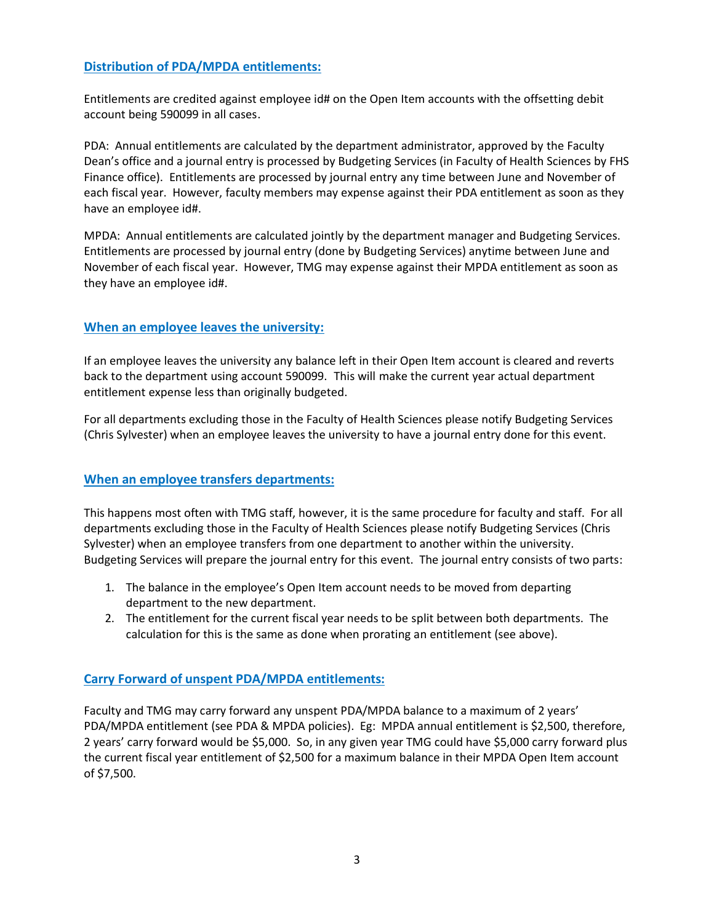# **Distribution of PDA/MPDA entitlements:**

Entitlements are credited against employee id# on the Open Item accounts with the offsetting debit account being 590099 in all cases.

PDA: Annual entitlements are calculated by the department administrator, approved by the Faculty Dean's office and a journal entry is processed by Budgeting Services (in Faculty of Health Sciences by FHS Finance office). Entitlements are processed by journal entry any time between June and November of each fiscal year. However, faculty members may expense against their PDA entitlement as soon as they have an employee id#.

MPDA: Annual entitlements are calculated jointly by the department manager and Budgeting Services. Entitlements are processed by journal entry (done by Budgeting Services) anytime between June and November of each fiscal year. However, TMG may expense against their MPDA entitlement as soon as they have an employee id#.

# **When an employee leaves the university:**

If an employee leaves the university any balance left in their Open Item account is cleared and reverts back to the department using account 590099. This will make the current year actual department entitlement expense less than originally budgeted.

For all departments excluding those in the Faculty of Health Sciences please notify Budgeting Services (Chris Sylvester) when an employee leaves the university to have a journal entry done for this event.

# **When an employee transfers departments:**

This happens most often with TMG staff, however, it is the same procedure for faculty and staff. For all departments excluding those in the Faculty of Health Sciences please notify Budgeting Services (Chris Sylvester) when an employee transfers from one department to another within the university. Budgeting Services will prepare the journal entry for this event. The journal entry consists of two parts:

- 1. The balance in the employee's Open Item account needs to be moved from departing department to the new department.
- 2. The entitlement for the current fiscal year needs to be split between both departments. The calculation for this is the same as done when prorating an entitlement (see above).

# **Carry Forward of unspent PDA/MPDA entitlements:**

Faculty and TMG may carry forward any unspent PDA/MPDA balance to a maximum of 2 years' PDA/MPDA entitlement (see PDA & MPDA policies). Eg: MPDA annual entitlement is \$2,500, therefore, 2 years' carry forward would be \$5,000. So, in any given year TMG could have \$5,000 carry forward plus the current fiscal year entitlement of \$2,500 for a maximum balance in their MPDA Open Item account of \$7,500.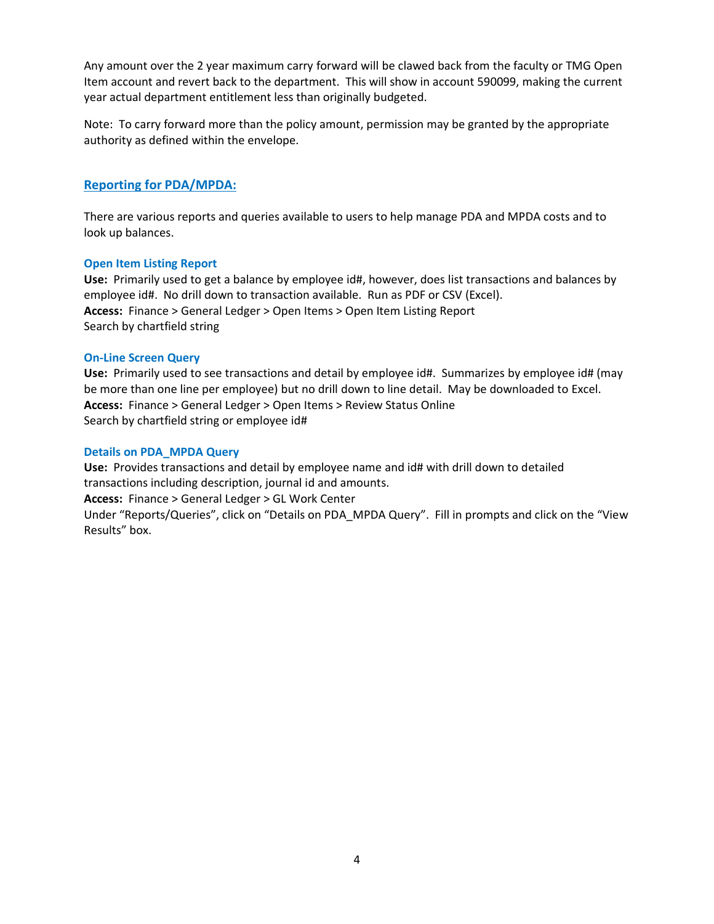Any amount over the 2 year maximum carry forward will be clawed back from the faculty or TMG Open Item account and revert back to the department. This will show in account 590099, making the current year actual department entitlement less than originally budgeted.

Note: To carry forward more than the policy amount, permission may be granted by the appropriate authority as defined within the envelope.

#### **Reporting for PDA/MPDA:**

There are various reports and queries available to users to help manage PDA and MPDA costs and to look up balances.

#### **Open Item Listing Report**

**Use:** Primarily used to get a balance by employee id#, however, does list transactions and balances by employee id#. No drill down to transaction available. Run as PDF or CSV (Excel). **Access:** Finance > General Ledger > Open Items > Open Item Listing Report Search by chartfield string

#### **On-Line Screen Query**

**Use:** Primarily used to see transactions and detail by employee id#. Summarizes by employee id# (may be more than one line per employee) but no drill down to line detail. May be downloaded to Excel. **Access:** Finance > General Ledger > Open Items > Review Status Online Search by chartfield string or employee id#

#### **Details on PDA\_MPDA Query**

**Use:** Provides transactions and detail by employee name and id# with drill down to detailed transactions including description, journal id and amounts.

**Access:** Finance > General Ledger > GL Work Center

Under "Reports/Queries", click on "Details on PDA\_MPDA Query". Fill in prompts and click on the "View Results" box.